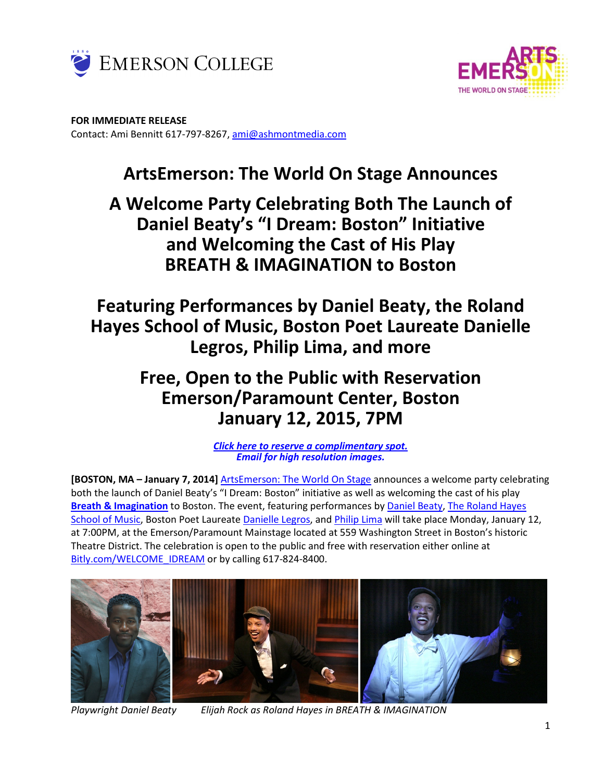



**FOR IMMEDIATE RELEASE**  Contact: Ami Bennitt 617‐797‐8267, ami@ashmontmedia.com

# **ArtsEmerson: The World On Stage Announces**

**A Welcome Party Celebrating Both The Launch of Daniel Beaty's "I Dream: Boston" Initiative and Welcoming the Cast of His Play BREATH & IMAGINATION to Boston** 

**Featuring Performances by Daniel Beaty, the Roland Hayes School of Music, Boston Poet Laureate Danielle Legros, Philip Lima, and more** 

## **Free, Open to the Public with Reservation Emerson/Paramount Center, Boston January 12, 2015, 7PM**

*Click here to reserve a complimentary spot. Email for high resolution images.*

**[BOSTON, MA – January 7, 2014]** ArtsEmerson: The World On Stage announces a welcome party celebrating both the launch of Daniel Beaty's "I Dream: Boston" initiative as well as welcoming the cast of his play **Breath & Imagination** to Boston. The event, featuring performances by Daniel Beaty, The Roland Hayes School of Music, Boston Poet Laureate Danielle Legros, and Philip Lima will take place Monday, January 12, at 7:00PM, at the Emerson/Paramount Mainstage located at 559 Washington Street in Boston's historic Theatre District. The celebration is open to the public and free with reservation either online at Bitly.com/WELCOME\_IDREAM or by calling 617-824-8400.



*Playwright Daniel Beaty Elijah Rock as Roland Hayes in BREATH & IMAGINATION*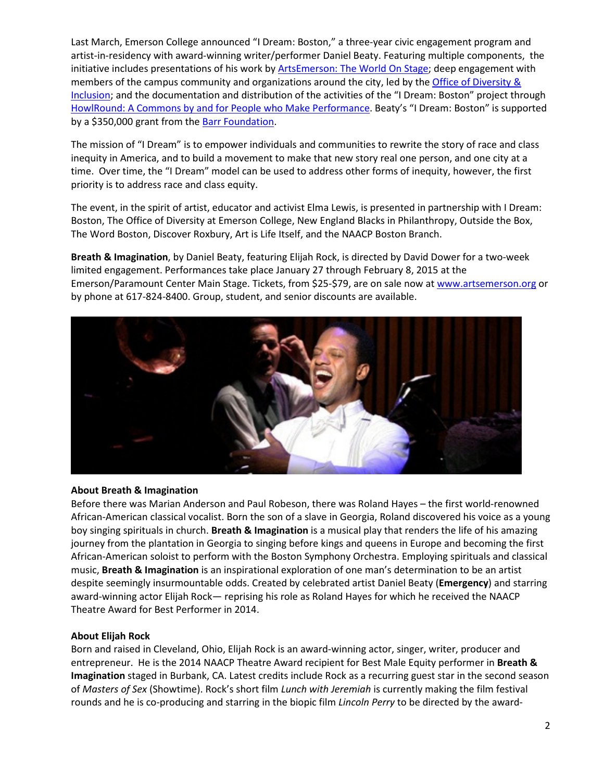Last March, Emerson College announced "I Dream: Boston," a three-year civic engagement program and artist-in-residency with award-winning writer/performer Daniel Beaty. Featuring multiple components, the initiative includes presentations of his work by ArtsEmerson: The World On Stage; deep engagement with members of the campus community and organizations around the city, led by the Office of Diversity & Inclusion; and the documentation and distribution of the activities of the "I Dream: Boston" project through HowlRound: A Commons by and for People who Make Performance. Beaty's "I Dream: Boston" is supported by a \$350,000 grant from the Barr Foundation.

The mission of "I Dream" is to empower individuals and communities to rewrite the story of race and class inequity in America, and to build a movement to make that new story real one person, and one city at a time. Over time, the "I Dream" model can be used to address other forms of inequity, however, the first priority is to address race and class equity.

The event, in the spirit of artist, educator and activist Elma Lewis, is presented in partnership with I Dream: Boston, The Office of Diversity at Emerson College, New England Blacks in Philanthropy, Outside the Box, The Word Boston, Discover Roxbury, Art is Life Itself, and the NAACP Boston Branch.

Breath & Imagination, by Daniel Beaty, featuring Elijah Rock, is directed by David Dower for a two-week limited engagement. Performances take place January 27 through February 8, 2015 at the Emerson/Paramount Center Main Stage. Tickets, from \$25‐\$79, are on sale now at www.artsemerson.org or by phone at 617‐824‐8400. Group, student, and senior discounts are available.



#### **About Breath & Imagination**

Before there was Marian Anderson and Paul Robeson, there was Roland Hayes – the first world‐renowned African‐American classical vocalist. Born the son of a slave in Georgia, Roland discovered his voice as a young boy singing spirituals in church. **Breath & Imagination** is a musical play that renders the life of his amazing journey from the plantation in Georgia to singing before kings and queens in Europe and becoming the first African‐American soloist to perform with the Boston Symphony Orchestra. Employing spirituals and classical music, **Breath & Imagination** is an inspirational exploration of one man's determination to be an artist despite seemingly insurmountable odds. Created by celebrated artist Daniel Beaty (**Emergency**) and starring award‐winning actor Elijah Rock— reprising his role as Roland Hayes for which he received the NAACP Theatre Award for Best Performer in 2014.

#### **About Elijah Rock**

Born and raised in Cleveland, Ohio, Elijah Rock is an award‐winning actor, singer, writer, producer and entrepreneur. He is the 2014 NAACP Theatre Award recipient for Best Male Equity performer in **Breath & Imagination** staged in Burbank, CA. Latest credits include Rock as a recurring guest star in the second season of *Masters of Sex* (Showtime). Rock's short film *Lunch with Jeremiah* is currently making the film festival rounds and he is co‐producing and starring in the biopic film *Lincoln Perry* to be directed by the award‐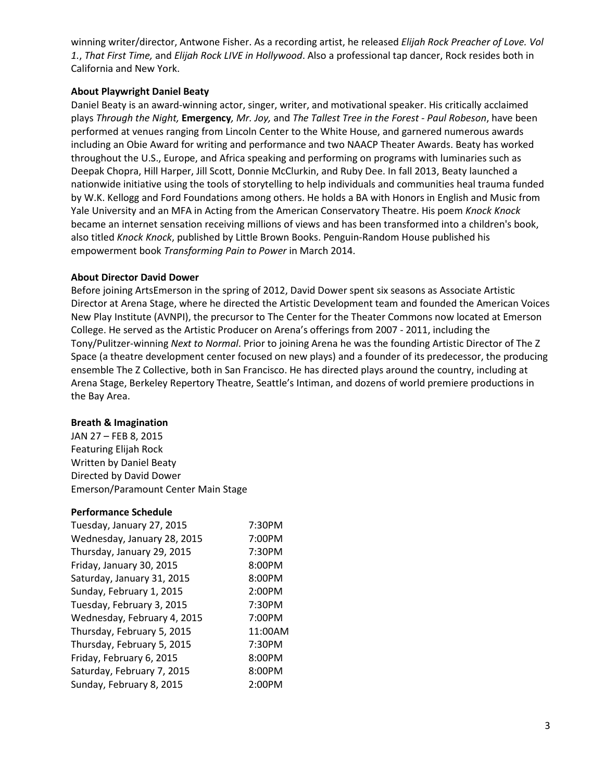winning writer/director, Antwone Fisher. As a recording artist, he released *Elijah Rock Preacher of Love. Vol 1.*, *That First Time,* and *Elijah Rock LIVE in Hollywood*. Also a professional tap dancer, Rock resides both in California and New York.

#### **About Playwright Daniel Beaty**

Daniel Beaty is an award‐winning actor, singer, writer, and motivational speaker. His critically acclaimed plays *Through the Night,* **Emergency***, Mr. Joy,* and *The Tallest Tree in the Forest - Paul Robeson*, have been performed at venues ranging from Lincoln Center to the White House, and garnered numerous awards including an Obie Award for writing and performance and two NAACP Theater Awards. Beaty has worked throughout the U.S., Europe, and Africa speaking and performing on programs with luminaries such as Deepak Chopra, Hill Harper, Jill Scott, Donnie McClurkin, and Ruby Dee. In fall 2013, Beaty launched a nationwide initiative using the tools of storytelling to help individuals and communities heal trauma funded by W.K. Kellogg and Ford Foundations among others. He holds a BA with Honors in English and Music from Yale University and an MFA in Acting from the American Conservatory Theatre. His poem *Knock Knock* became an internet sensation receiving millions of views and has been transformed into a children's book, also titled *Knock Knock*, published by Little Brown Books. Penguin‐Random House published his empowerment book *Transforming Pain to Power* in March 2014.

#### **About Director David Dower**

Before joining ArtsEmerson in the spring of 2012, David Dower spent six seasons as Associate Artistic Director at Arena Stage, where he directed the Artistic Development team and founded the American Voices New Play Institute (AVNPI), the precursor to The Center for the Theater Commons now located at Emerson College. He served as the Artistic Producer on Arena's offerings from 2007 ‐ 2011, including the Tony/Pulitzer‐winning *Next to Normal*. Prior to joining Arena he was the founding Artistic Director of The Z Space (a theatre development center focused on new plays) and a founder of its predecessor, the producing ensemble The Z Collective, both in San Francisco. He has directed plays around the country, including at Arena Stage, Berkeley Repertory Theatre, Seattle's Intiman, and dozens of world premiere productions in the Bay Area.

#### **Breath & Imagination**

JAN 27 – FEB 8, 2015 Featuring Elijah Rock Written by Daniel Beaty Directed by David Dower Emerson/Paramount Center Main Stage

#### **Performance Schedule**

| 7:30PM  |
|---------|
| 7:00PM  |
| 7:30PM  |
| 8:00PM  |
| 8:00PM  |
| 2:00PM  |
| 7:30PM  |
| 7:00PM  |
| 11:00AM |
| 7:30PM  |
| 8:00PM  |
| 8:00PM  |
| 2:00PM  |
|         |